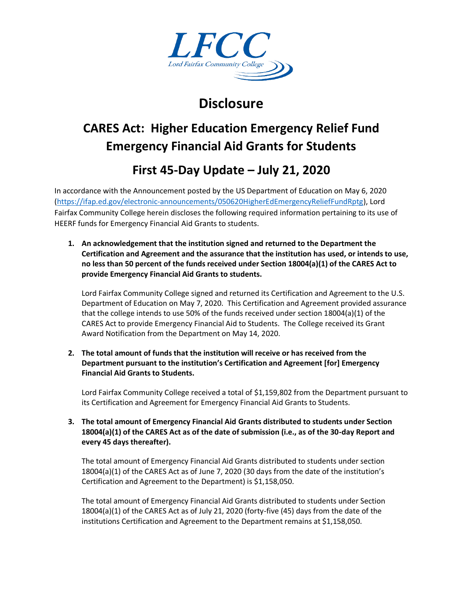

## **Disclosure**

# **CARES Act: Higher Education Emergency Relief Fund Emergency Financial Aid Grants for Students**

### **First 45-Day Update – July 21, 2020**

In accordance with the Announcement posted by the US Department of Education on May 6, 2020 [\(https://ifap.ed.gov/electronic-announcements/050620HigherEdEmergencyReliefFundRptg\)](https://ifap.ed.gov/electronic-announcements/050620HigherEdEmergencyReliefFundRptg), Lord Fairfax Community College herein discloses the following required information pertaining to its use of HEERF funds for Emergency Financial Aid Grants to students.

**1. An acknowledgement that the institution signed and returned to the Department the Certification and Agreement and the assurance that the institution has used, or intends to use, no less than 50 percent of the funds received under Section 18004(a)(1) of the CARES Act to provide Emergency Financial Aid Grants to students.**

Lord Fairfax Community College signed and returned its Certification and Agreement to the U.S. Department of Education on May 7, 2020. This Certification and Agreement provided assurance that the college intends to use 50% of the funds received under section 18004(a)(1) of the CARES Act to provide Emergency Financial Aid to Students. The College received its Grant Award Notification from the Department on May 14, 2020.

**2. The total amount of funds that the institution will receive or has received from the Department pursuant to the institution's Certification and Agreement [for] Emergency Financial Aid Grants to Students.**

Lord Fairfax Community College received a total of \$1,159,802 from the Department pursuant to its Certification and Agreement for Emergency Financial Aid Grants to Students.

**3. The total amount of Emergency Financial Aid Grants distributed to students under Section 18004(a)(1) of the CARES Act as of the date of submission (i.e., as of the 30-day Report and every 45 days thereafter).**

The total amount of Emergency Financial Aid Grants distributed to students under section 18004(a)(1) of the CARES Act as of June 7, 2020 (30 days from the date of the institution's Certification and Agreement to the Department) is \$1,158,050.

The total amount of Emergency Financial Aid Grants distributed to students under Section 18004(a)(1) of the CARES Act as of July 21, 2020 (forty-five (45) days from the date of the institutions Certification and Agreement to the Department remains at \$1,158,050.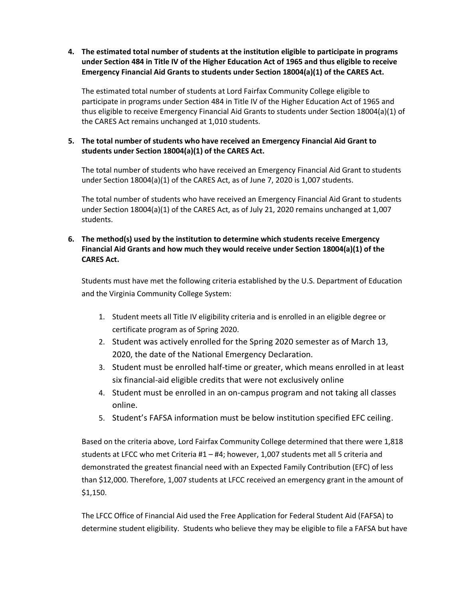**4. The estimated total number of students at the institution eligible to participate in programs under Section 484 in Title IV of the Higher Education Act of 1965 and thus eligible to receive Emergency Financial Aid Grants to students under Section 18004(a)(1) of the CARES Act.**

The estimated total number of students at Lord Fairfax Community College eligible to participate in programs under Section 484 in Title IV of the Higher Education Act of 1965 and thus eligible to receive Emergency Financial Aid Grants to students under Section 18004(a)(1) of the CARES Act remains unchanged at 1,010 students.

#### **5. The total number of students who have received an Emergency Financial Aid Grant to students under Section 18004(a)(1) of the CARES Act.**

The total number of students who have received an Emergency Financial Aid Grant to students under Section 18004(a)(1) of the CARES Act, as of June 7, 2020 is 1,007 students.

The total number of students who have received an Emergency Financial Aid Grant to students under Section 18004(a)(1) of the CARES Act, as of July 21, 2020 remains unchanged at 1,007 students.

#### **6. The method(s) used by the institution to determine which students receive Emergency Financial Aid Grants and how much they would receive under Section 18004(a)(1) of the CARES Act.**

Students must have met the following criteria established by the U.S. Department of Education and the Virginia Community College System:

- 1. Student meets all Title IV eligibility criteria and is enrolled in an eligible degree or certificate program as of Spring 2020.
- 2. Student was actively enrolled for the Spring 2020 semester as of March 13, 2020, the date of the National Emergency Declaration.
- 3. Student must be enrolled half-time or greater, which means enrolled in at least six financial-aid eligible credits that were not exclusively online
- 4. Student must be enrolled in an on-campus program and not taking all classes online.
- 5. Student's FAFSA information must be below institution specified EFC ceiling.

Based on the criteria above, Lord Fairfax Community College determined that there were 1,818 students at LFCC who met Criteria #1 – #4; however, 1,007 students met all 5 criteria and demonstrated the greatest financial need with an Expected Family Contribution (EFC) of less than \$12,000. Therefore, 1,007 students at LFCC received an emergency grant in the amount of \$1,150.

The LFCC Office of Financial Aid used the Free Application for Federal Student Aid (FAFSA) to determine student eligibility. Students who believe they may be eligible to file a FAFSA but have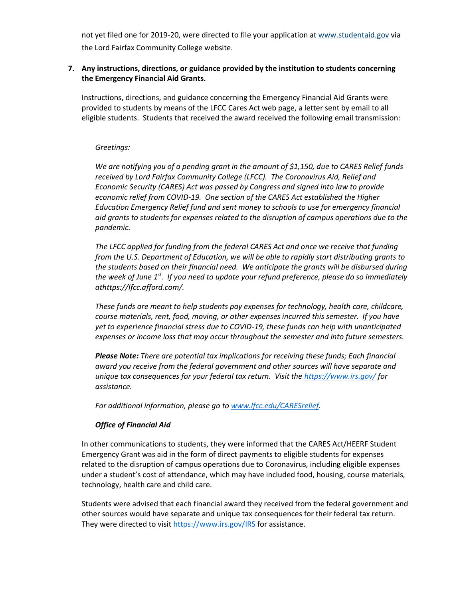not yet filed one for 2019-20, were directed to file your application at [www.studentaid.gov](https://lfcc.edu/financial-aid/cares-higher-education-emergency-relief-fund-heerf/www.studentaid.gov) via the Lord Fairfax Community College website.

#### **7. Any instructions, directions, or guidance provided by the institution to students concerning the Emergency Financial Aid Grants.**

Instructions, directions, and guidance concerning the Emergency Financial Aid Grants were provided to students by means of the LFCC Cares Act web page, a letter sent by email to all eligible students. Students that received the award received the following email transmission:

#### *Greetings:*

*We are notifying you of a pending grant in the amount of \$1,150, due to CARES Relief funds received by Lord Fairfax Community College (LFCC). The Coronavirus Aid, Relief and Economic Security (CARES) Act was passed by Congress and signed into law to provide economic relief from COVID-19. One section of the CARES Act established the Higher Education Emergency Relief fund and sent money to schools to use for emergency financial aid grants to students for expenses related to the disruption of campus operations due to the pandemic.*

*The LFCC applied for funding from the federal CARES Act and once we receive that funding from the U.S. Department of Education, we will be able to rapidly start distributing grants to the students based on their financial need. We anticipate the grants will be disbursed during the week of June 1st. If you need to update your refund preference, please do so immediately athttps://lfcc.afford.com/.*

*These funds are meant to help students pay expenses for technology, health care, childcare, course materials, rent, food, moving, or other expenses incurred this semester. If you have yet to experience financial stress due to COVID-19, these funds can help with unanticipated expenses or income loss that may occur throughout the semester and into future semesters.*

*Please Note: There are potential tax implications for receiving these funds; Each financial award you receive from the federal government and other sources will have separate and unique tax consequences for your federal tax return. Visit the<https://www.irs.gov/> for assistance.*

*For additional information, please go t[o www.lfcc.edu/CARESrelief.](http://www.lfcc.edu/CARESrelief)*

#### *Office of Financial Aid*

In other communications to students, they were informed that the CARES Act/HEERF Student Emergency Grant was aid in the form of direct payments to eligible students for expenses related to the disruption of campus operations due to Coronavirus, including eligible expenses under a student's cost of attendance, which may have included food, housing, course materials, technology, health care and child care.

Students were advised that each financial award they received from the federal government and other sources would have separate and unique tax consequences for their federal tax return. They were directed to visit<https://www.irs.gov/IRS> for assistance.